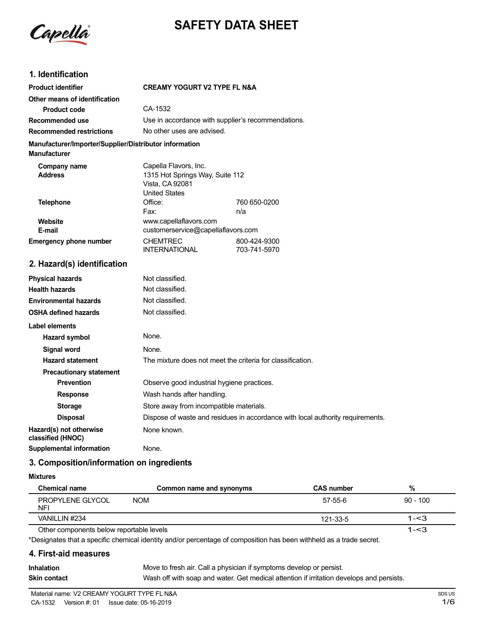

# **SAFETY DATA SHEET**

# **1. Identification**

| <b>Product identifier</b>                                                     | <b>CREAMY YOGURT V2 TYPE FL N&amp;A</b>                                                             |              |
|-------------------------------------------------------------------------------|-----------------------------------------------------------------------------------------------------|--------------|
| Other means of identification                                                 |                                                                                                     |              |
| <b>Product code</b>                                                           | CA-1532                                                                                             |              |
| Recommended use                                                               | Use in accordance with supplier's recommendations.                                                  |              |
| <b>Recommended restrictions</b>                                               | No other uses are advised.                                                                          |              |
| Manufacturer/Importer/Supplier/Distributor information<br><b>Manufacturer</b> |                                                                                                     |              |
| Company name<br><b>Address</b>                                                | Capella Flavors, Inc.<br>1315 Hot Springs Way, Suite 112<br>Vista, CA 92081<br><b>United States</b> |              |
| <b>Telephone</b>                                                              | Office:                                                                                             | 760 650-0200 |
|                                                                               | Fax:                                                                                                | n/a          |
| Website<br>E-mail                                                             | www.capellaflavors.com<br>customerservice@capellaflavors.com                                        |              |
| <b>Emergency phone number</b>                                                 | <b>CHEMTREC</b>                                                                                     | 800-424-9300 |
|                                                                               | <b>INTERNATIONAL</b>                                                                                | 703-741-5970 |
| 2. Hazard(s) identification                                                   |                                                                                                     |              |
| <b>Physical hazards</b>                                                       | Not classified.                                                                                     |              |
| <b>Health hazards</b>                                                         | Not classified.                                                                                     |              |
| <b>Environmental hazards</b>                                                  | Not classified.                                                                                     |              |
| <b>OSHA defined hazards</b>                                                   | Not classified.                                                                                     |              |
| Label elements                                                                |                                                                                                     |              |
| <b>Hazard symbol</b>                                                          | None.                                                                                               |              |
| Signal word                                                                   | None.                                                                                               |              |
| <b>Hazard statement</b>                                                       | The mixture does not meet the criteria for classification.                                          |              |
| <b>Precautionary statement</b>                                                |                                                                                                     |              |
| <b>Prevention</b>                                                             | Observe good industrial hygiene practices.                                                          |              |

**Response** Wash hands after handling.

**Storage** Store away from incompatible materials. **Disposal** Dispose of waste and residues in accordance with local authority requirements. **Hazard(s)** not otherwise None known. **classified (HNOC) Supplemental information** None.

**3. Composition/information on ingredients**

#### **Mixtures**

| Chemical name                            | Common name and synonyms | <b>CAS number</b> | %          |
|------------------------------------------|--------------------------|-------------------|------------|
| PROPYLENE GLYCOL<br><b>NFI</b>           | <b>NOM</b>               | 57-55-6           | $90 - 100$ |
| VANILLIN #234                            |                          | 121-33-5          | $1 - 3$    |
| Other components below reportable levels |                          |                   | $1 - 3$    |

Other components below reportable levels

\*Designates that a specific chemical identity and/or percentage of composition has been withheld as a trade secret.

# **4. First-aid measures**

| <b>Inhalation</b> | Move to fresh air. Call a physician if symptoms develop or persist.                      |
|-------------------|------------------------------------------------------------------------------------------|
| Skin contact      | Wash off with soap and water. Get medical attention if irritation develops and persists. |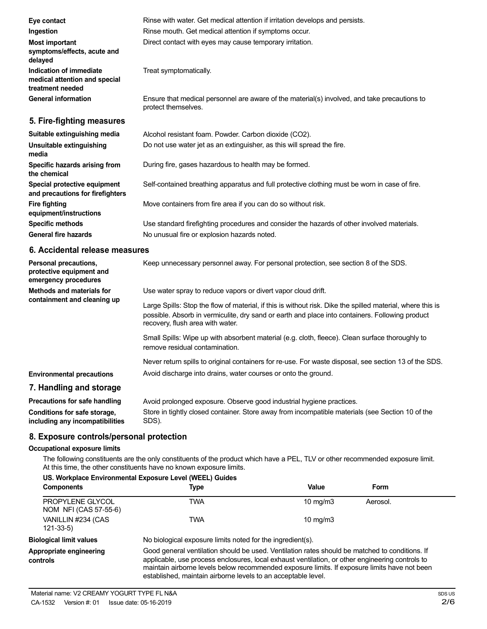| Eye contact                                                                  | Rinse with water. Get medical attention if irritation develops and persists.                                        |
|------------------------------------------------------------------------------|---------------------------------------------------------------------------------------------------------------------|
| Ingestion                                                                    | Rinse mouth. Get medical attention if symptoms occur.                                                               |
| <b>Most important</b><br>symptoms/effects, acute and<br>delayed              | Direct contact with eyes may cause temporary irritation.                                                            |
| Indication of immediate<br>medical attention and special<br>treatment needed | Treat symptomatically.                                                                                              |
| <b>General information</b>                                                   | Ensure that medical personnel are aware of the material(s) involved, and take precautions to<br>protect themselves. |
| 5. Fire-fighting measures                                                    |                                                                                                                     |
| Suitable extinguishing media                                                 | Alcohol resistant foam. Powder. Carbon dioxide (CO2).                                                               |
| Unsuitable extinguishing<br>media                                            | Do not use water jet as an extinguisher, as this will spread the fire.                                              |
| Specific hazards arising from<br>the chemical                                | During fire, gases hazardous to health may be formed.                                                               |
| Special protective equipment<br>and precautions for firefighters             | Self-contained breathing apparatus and full protective clothing must be worn in case of fire.                       |
| <b>Fire fighting</b><br>equipment/instructions                               | Move containers from fire area if you can do so without risk.                                                       |
| <b>Specific methods</b>                                                      | Use standard firefighting procedures and consider the hazards of other involved materials.                          |
| <b>General fire hazards</b>                                                  | No unusual fire or explosion hazards noted.                                                                         |

# **6. Accidental release measures**

| Personal precautions,<br>protective equipment and<br>emergency procedures | Keep unnecessary personnel away. For personal protection, see section 8 of the SDS.                                                                                                                                                               |
|---------------------------------------------------------------------------|---------------------------------------------------------------------------------------------------------------------------------------------------------------------------------------------------------------------------------------------------|
| Methods and materials for<br>containment and cleaning up                  | Use water spray to reduce vapors or divert vapor cloud drift.                                                                                                                                                                                     |
|                                                                           | Large Spills: Stop the flow of material, if this is without risk. Dike the spilled material, where this is<br>possible. Absorb in vermiculite, dry sand or earth and place into containers. Following product<br>recovery, flush area with water. |
|                                                                           | Small Spills: Wipe up with absorbent material (e.g. cloth, fleece). Clean surface thoroughly to<br>remove residual contamination.                                                                                                                 |
|                                                                           | Never return spills to original containers for re-use. For waste disposal, see section 13 of the SDS.                                                                                                                                             |
| <b>Environmental precautions</b>                                          | Avoid discharge into drains, water courses or onto the ground.                                                                                                                                                                                    |
| 7. Handling and storage                                                   |                                                                                                                                                                                                                                                   |
| <b>Precautions for safe handling</b>                                      | Avoid prolonged exposure. Observe good industrial hygiene practices.                                                                                                                                                                              |
|                                                                           |                                                                                                                                                                                                                                                   |

**Conditions for safe storage, including any incompatibilities** Store in tightly closed container. Store away from incompatible materials (see Section 10 of the SDS).

# **8. Exposure controls/personal protection**

# **Occupational exposure limits**

The following constituents are the only constituents of the product which have a PEL, TLV or other recommended exposure limit. At this time, the other constituents have no known exposure limits.

| <b>Components</b>                         | US. Workplace Environmental Exposure Level (WEEL) Guides<br>Type                                                                                                                                                                                                                                                                                                   | Value      | Form     |
|-------------------------------------------|--------------------------------------------------------------------------------------------------------------------------------------------------------------------------------------------------------------------------------------------------------------------------------------------------------------------------------------------------------------------|------------|----------|
|                                           |                                                                                                                                                                                                                                                                                                                                                                    |            |          |
| PROPYLENE GLYCOL<br>NOM NFI (CAS 57-55-6) | TWA                                                                                                                                                                                                                                                                                                                                                                | 10 $mq/m3$ | Aerosol. |
| VANILLIN #234 (CAS<br>121-33-5)           | <b>TWA</b>                                                                                                                                                                                                                                                                                                                                                         | 10 $mq/m3$ |          |
| <b>Biological limit values</b>            | No biological exposure limits noted for the ingredient(s).                                                                                                                                                                                                                                                                                                         |            |          |
| Appropriate engineering<br>controls       | Good general ventilation should be used. Ventilation rates should be matched to conditions. If<br>applicable, use process enclosures, local exhaust ventilation, or other engineering controls to<br>maintain airborne levels below recommended exposure limits. If exposure limits have not been<br>established, maintain airborne levels to an acceptable level. |            |          |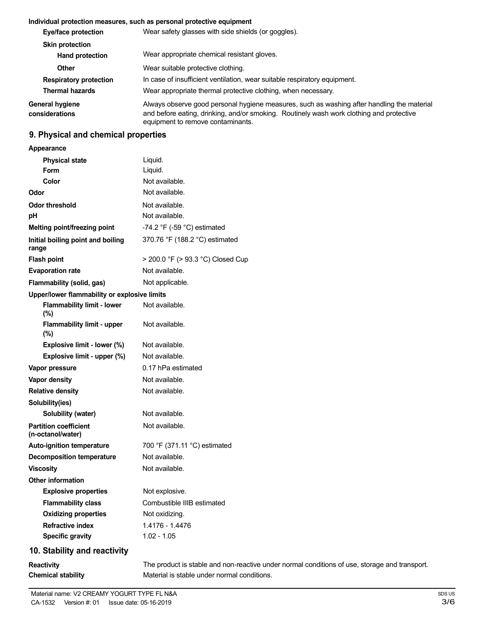# **Individual protection measures, such as personal protective equipment**

| Eye/face protection               | Wear safety glasses with side shields (or goggles).                                                                                                                                                                         |
|-----------------------------------|-----------------------------------------------------------------------------------------------------------------------------------------------------------------------------------------------------------------------------|
| <b>Skin protection</b>            |                                                                                                                                                                                                                             |
| <b>Hand protection</b>            | Wear appropriate chemical resistant gloves.                                                                                                                                                                                 |
| Other                             | Wear suitable protective clothing.                                                                                                                                                                                          |
| <b>Respiratory protection</b>     | In case of insufficient ventilation, wear suitable respiratory equipment.                                                                                                                                                   |
| <b>Thermal hazards</b>            | Wear appropriate thermal protective clothing, when necessary.                                                                                                                                                               |
| General hygiene<br>considerations | Always observe good personal hygiene measures, such as washing after handling the material<br>and before eating, drinking, and/or smoking. Routinely wash work clothing and protective<br>equipment to remove contaminants. |

# **9. Physical and chemical properties**

# **Appearance**

| <b>Physical state</b>                             | Liquid.                           |
|---------------------------------------------------|-----------------------------------|
| <b>Form</b>                                       | Liquid.                           |
| Color                                             | Not available.                    |
| Odor                                              | Not available.                    |
| <b>Odor threshold</b>                             | Not available.                    |
| рH                                                | Not available.                    |
| <b>Melting point/freezing point</b>               | -74.2 °F (-59 °C) estimated       |
| Initial boiling point and boiling<br>range        | 370.76 °F (188.2 °C) estimated    |
| <b>Flash point</b>                                | > 200.0 °F (> 93.3 °C) Closed Cup |
| <b>Evaporation rate</b>                           | Not available.                    |
| Flammability (solid, gas)                         | Not applicable.                   |
| Upper/lower flammability or explosive limits      |                                   |
| <b>Flammability limit - lower</b><br>(%)          | Not available.                    |
| <b>Flammability limit - upper</b><br>(%)          | Not available.                    |
| Explosive limit - lower (%)                       | Not available.                    |
| Explosive limit - upper (%)                       | Not available.                    |
| Vapor pressure                                    | 0.17 hPa estimated                |
| Vapor density                                     | Not available.                    |
| <b>Relative density</b>                           | Not available.                    |
| Solubility(ies)                                   |                                   |
| Solubility (water)                                | Not available.                    |
| <b>Partition coefficient</b><br>(n-octanol/water) | Not available.                    |
| <b>Auto-ignition temperature</b>                  | 700 °F (371.11 °C) estimated      |
| <b>Decomposition temperature</b>                  | Not available.                    |
| <b>Viscosity</b>                                  | Not available.                    |
| <b>Other information</b>                          |                                   |
| <b>Explosive properties</b>                       | Not explosive.                    |
| <b>Flammability class</b>                         | Combustible IIIB estimated        |
| <b>Oxidizing properties</b>                       | Not oxidizing.                    |
| <b>Refractive index</b>                           | 1.4176 - 1.4476                   |
| <b>Specific gravity</b>                           | $1.02 - 1.05$                     |
| 10. Stability and reactivity                      |                                   |

**Reactivity Chemical stability** The product is stable and non-reactive under normal conditions of use, storage and transport. Material is stable under normal conditions.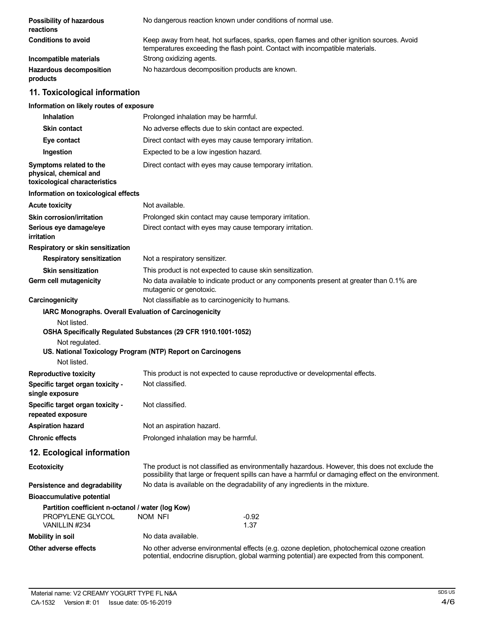| Possibility of hazardous<br>reactions                                                  | No dangerous reaction known under conditions of normal use.                                                                                                                                           |  |
|----------------------------------------------------------------------------------------|-------------------------------------------------------------------------------------------------------------------------------------------------------------------------------------------------------|--|
| <b>Conditions to avoid</b>                                                             | Keep away from heat, hot surfaces, sparks, open flames and other ignition sources. Avoid<br>temperatures exceeding the flash point. Contact with incompatible materials.                              |  |
| Incompatible materials                                                                 | Strong oxidizing agents.                                                                                                                                                                              |  |
| <b>Hazardous decomposition</b><br>products                                             | No hazardous decomposition products are known.                                                                                                                                                        |  |
| 11. Toxicological information                                                          |                                                                                                                                                                                                       |  |
| Information on likely routes of exposure                                               |                                                                                                                                                                                                       |  |
| <b>Inhalation</b>                                                                      | Prolonged inhalation may be harmful.                                                                                                                                                                  |  |
| <b>Skin contact</b>                                                                    | No adverse effects due to skin contact are expected.                                                                                                                                                  |  |
| Eye contact                                                                            | Direct contact with eyes may cause temporary irritation.                                                                                                                                              |  |
| Ingestion                                                                              | Expected to be a low ingestion hazard.                                                                                                                                                                |  |
| Symptoms related to the<br>physical, chemical and<br>toxicological characteristics     | Direct contact with eyes may cause temporary irritation.                                                                                                                                              |  |
| Information on toxicological effects                                                   |                                                                                                                                                                                                       |  |
| <b>Acute toxicity</b>                                                                  | Not available.                                                                                                                                                                                        |  |
| <b>Skin corrosion/irritation</b>                                                       | Prolonged skin contact may cause temporary irritation.                                                                                                                                                |  |
| Serious eye damage/eye<br>irritation                                                   | Direct contact with eyes may cause temporary irritation.                                                                                                                                              |  |
| Respiratory or skin sensitization                                                      |                                                                                                                                                                                                       |  |
| <b>Respiratory sensitization</b>                                                       | Not a respiratory sensitizer.                                                                                                                                                                         |  |
| <b>Skin sensitization</b>                                                              | This product is not expected to cause skin sensitization.                                                                                                                                             |  |
| Germ cell mutagenicity                                                                 | No data available to indicate product or any components present at greater than 0.1% are<br>mutagenic or genotoxic.                                                                                   |  |
| Carcinogenicity                                                                        | Not classifiable as to carcinogenicity to humans.                                                                                                                                                     |  |
| IARC Monographs. Overall Evaluation of Carcinogenicity                                 |                                                                                                                                                                                                       |  |
| Not listed.<br>Not regulated.<br>Not listed.                                           | OSHA Specifically Regulated Substances (29 CFR 1910.1001-1052)<br>US. National Toxicology Program (NTP) Report on Carcinogens                                                                         |  |
| <b>Reproductive toxicity</b>                                                           | This product is not expected to cause reproductive or developmental effects.                                                                                                                          |  |
| Specific target organ toxicity -<br>single exposure                                    | Not classified.                                                                                                                                                                                       |  |
| Specific target organ toxicity -<br>repeated exposure                                  | Not classified.                                                                                                                                                                                       |  |
| <b>Aspiration hazard</b>                                                               | Not an aspiration hazard.                                                                                                                                                                             |  |
| <b>Chronic effects</b>                                                                 | Prolonged inhalation may be harmful.                                                                                                                                                                  |  |
| 12. Ecological information                                                             |                                                                                                                                                                                                       |  |
| <b>Ecotoxicity</b>                                                                     | The product is not classified as environmentally hazardous. However, this does not exclude the<br>possibility that large or frequent spills can have a harmful or damaging effect on the environment. |  |
| Persistence and degradability                                                          | No data is available on the degradability of any ingredients in the mixture.                                                                                                                          |  |
| <b>Bioaccumulative potential</b>                                                       |                                                                                                                                                                                                       |  |
| Partition coefficient n-octanol / water (log Kow)<br>PROPYLENE GLYCOL<br>VANILLIN #234 | <b>NOM NFI</b><br>$-0.92$<br>1.37                                                                                                                                                                     |  |
| <b>Mobility in soil</b>                                                                | No data available.                                                                                                                                                                                    |  |
| Other adverse effects                                                                  | No other adverse environmental effects (e.g. ozone depletion, photochemical ozone creation<br>potential, endocrine disruption, global warming potential) are expected from this component.            |  |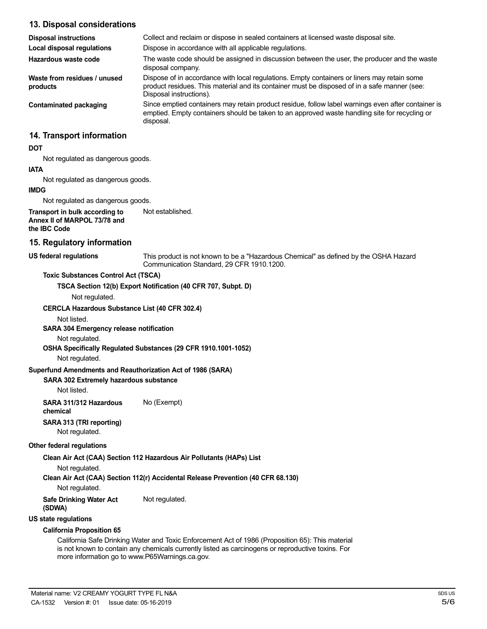| 13. Disposal considerations                                                    |                                                                                                                                                                                                                        |
|--------------------------------------------------------------------------------|------------------------------------------------------------------------------------------------------------------------------------------------------------------------------------------------------------------------|
| <b>Disposal instructions</b>                                                   | Collect and reclaim or dispose in sealed containers at licensed waste disposal site.                                                                                                                                   |
| Local disposal regulations                                                     | Dispose in accordance with all applicable regulations.                                                                                                                                                                 |
| Hazardous waste code                                                           | The waste code should be assigned in discussion between the user, the producer and the waste<br>disposal company.                                                                                                      |
| Waste from residues / unused<br>products                                       | Dispose of in accordance with local regulations. Empty containers or liners may retain some<br>product residues. This material and its container must be disposed of in a safe manner (see:<br>Disposal instructions). |
| <b>Contaminated packaging</b>                                                  | Since emptied containers may retain product residue, follow label warnings even after container is<br>emptied. Empty containers should be taken to an approved waste handling site for recycling or<br>disposal.       |
| 14. Transport information                                                      |                                                                                                                                                                                                                        |
| <b>DOT</b>                                                                     |                                                                                                                                                                                                                        |
| Not regulated as dangerous goods.                                              |                                                                                                                                                                                                                        |
| <b>IATA</b>                                                                    |                                                                                                                                                                                                                        |
| Not regulated as dangerous goods.                                              |                                                                                                                                                                                                                        |
| <b>IMDG</b>                                                                    |                                                                                                                                                                                                                        |
| Not regulated as dangerous goods.                                              |                                                                                                                                                                                                                        |
| Transport in bulk according to<br>Annex II of MARPOL 73/78 and<br>the IBC Code | Not established.                                                                                                                                                                                                       |
| 15. Regulatory information                                                     |                                                                                                                                                                                                                        |
| <b>US federal regulations</b>                                                  | This product is not known to be a "Hazardous Chemical" as defined by the OSHA Hazard<br>Communication Standard, 29 CFR 1910.1200.                                                                                      |
| <b>Toxic Substances Control Act (TSCA)</b>                                     |                                                                                                                                                                                                                        |
|                                                                                | TSCA Section 12(b) Export Notification (40 CFR 707, Subpt. D)                                                                                                                                                          |
| Not regulated.                                                                 |                                                                                                                                                                                                                        |
| <b>CERCLA Hazardous Substance List (40 CFR 302.4)</b>                          |                                                                                                                                                                                                                        |
| Not listed.                                                                    |                                                                                                                                                                                                                        |
| SARA 304 Emergency release notification                                        |                                                                                                                                                                                                                        |
| Not regulated.                                                                 |                                                                                                                                                                                                                        |
|                                                                                | OSHA Specifically Regulated Substances (29 CFR 1910.1001-1052)                                                                                                                                                         |

Not regulated.

#### **Superfund Amendments and Reauthorization Act of 1986 (SARA)**

# **SARA 302 Extremely hazardous substance**

Not listed.

**SARA 311/312 Hazardous** No (Exempt) **chemical**

**SARA 313 (TRI reporting)**

Not regulated.

# **Other federal regulations**

**Clean Air Act (CAA) Section 112 Hazardous Air Pollutants (HAPs) List**

Not regulated.

**Clean Air Act (CAA) Section 112(r) Accidental Release Prevention (40 CFR 68.130)**

Not regulated.

**Safe Drinking Water Act** Not regulated.

**(SDWA)**

**US state regulations**

# **California Proposition 65**

California Safe Drinking Water and Toxic Enforcement Act of 1986 (Proposition 65): This material is not known to contain any chemicals currently listed as carcinogens or reproductive toxins. For more information go to www.P65Warnings.ca.gov.